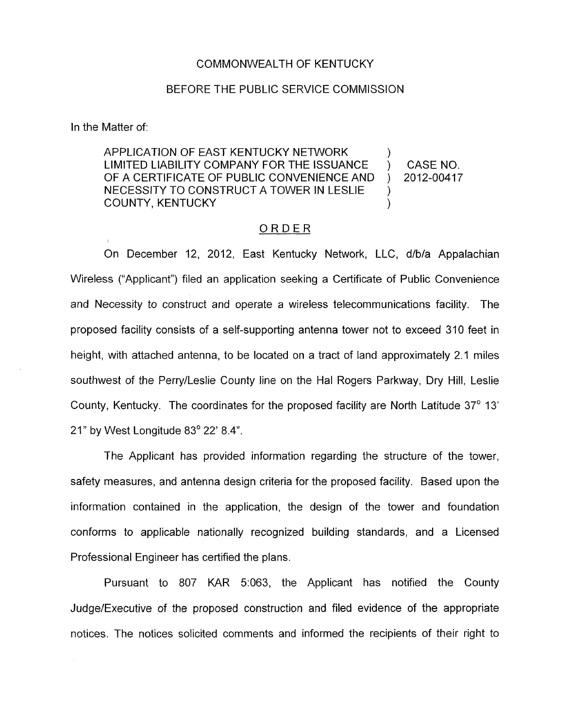## COMMONWEALTH OF KENTUCKY

## BEFORE THE PUBLIC SERVICE COMMISSION

In the Matter of:

APPLICATION OF EAST KENTUCKY NETWORK LIMITED LIABILITY COMPANY FOR THE ISSUANCE ) CASE NO. OF A CERTIFICATE OF PUBLIC CONVENIENCE AND ) 2012-00417 NECESSITY TO CONSTRUCT A TOWER IN LESLIE ) )<br>) COUNTY, KENTUCKY )

## ORDER

On December 12, 2012, East Kentucky Network, LLC, d/b/a Appalachian Wireless ("Applicant") filed an application seeking a Certificate of Public Convenience and Necessity to construct and operate a wireless telecommunications facility. The proposed facility consists of a self-supporting antenna tower not to exceed 310 feet in height, with attached antenna, to be located on a tract of land approximately 2.1 miles southwest of the Perry/Leslie County line on the Hal Rogers Parkway, Dry Hill, Leslie County, Kentucky. The coordinates for the proposed facility are North Latitude 37' 13' 21" by West Longitude 83' 22' 8.4".

The Applicant has provided information regarding the structure of the tower, safety measures, and antenna design criteria for the proposed facility. Based upon the information contained in the application, the design of the tower and foundation conforms to applicable nationally recognized building standards, and a Licensed Professional Engineer has certified the plans.

Pursuant to 807 KAR 5:063, the Applicant has notified the County Judge/Executive of the proposed construction and filed evidence of the appropriate notices. The notices solicited comments and informed the recipients of their right to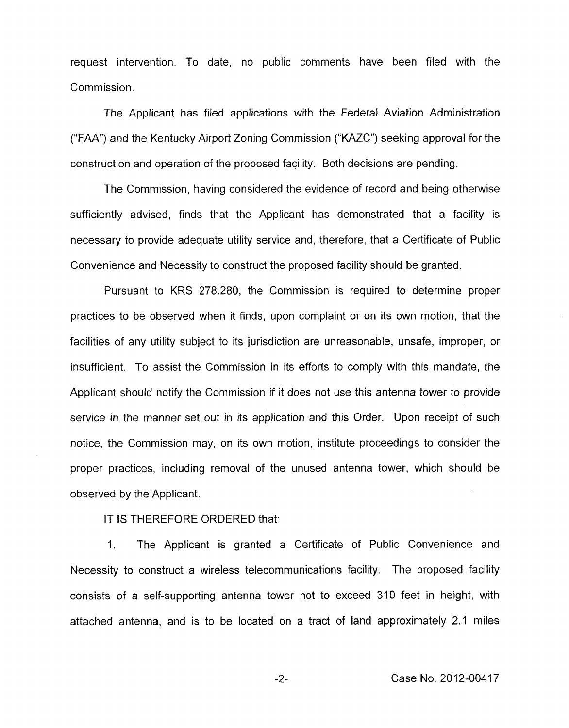request intervention. To date, no public comments have been filed with the Commission.

The Applicant has filed applications with the Federal Aviation Administration ("FAA") and the Kentucky Airport Zoning Commission ("KAZC") seeking approval for the construction and operation of the proposed facility. Both decisions are pending.

The Commission, having considered the evidence of record and being otherwise sufficiently advised, finds that the Applicant has demonstrated that a facility is necessary to provide adequate utility service and, therefore, that a Certificate of Public Convenience and Necessity to construct the proposed facility should be granted.

Pursuant to KRS 278.280, the Commission is required to determine proper practices to be observed when it finds, upon complaint or on its own motion, that the facilities of any utility subject to its jurisdiction are unreasonable, unsafe, improper, or insufficient. To assist the Commission in its efforts to comply with this mandate, the Applicant should notify the Commission if it does not use this antenna tower to provide service in the manner set out in its application and this Order. Upon receipt of such notice, the Commission may, on its own motion, institute proceedings to consider the proper practices, including removal of the unused antenna tower, which should be observed by the Applicant.

IT IS THEREFORE ORDERED that:

1. The Applicant is granted a Certificate of Public Convenience and Necessity to construct a wireless telecommunications facility. The proposed facility consists of a self-supporting antenna tower not to exceed 310 feet in height, with attached antenna, and is to be located on a tract of land approximately 2.1 miles

-2- Case No. 2012-00417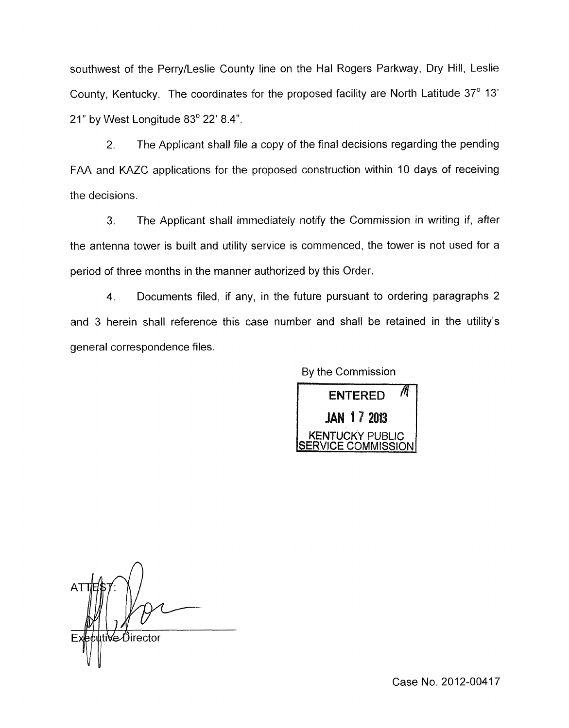southwest of the PerrylLeslie County line on the Hal Rogers Parkway, Dry Hill, Leslie County, Kentucky. The coordinates for the proposed facility are North Latitude 37' 13' 21" by West Longitude 83° 22' 8.4".

2. The Applicant shall file a copy of the final decisions regarding the pending FAA and KAZC applications for the proposed construction within IO days of receiving the decisions.

3. The Applicant shall immediately notify the Commission in writing if, after the antenna tower is built and utility service is commenced, the tower is not used for a period of three months in the manner authorized by this Order.

4. Dacuments filed, if any, in the future pursuant to ordering paragraphs 2 and 3 herein shall reference this case number and shall be retained in the utility's general correspondence files.

By the Commission



Ve∕Director

Case No. 2012-00417